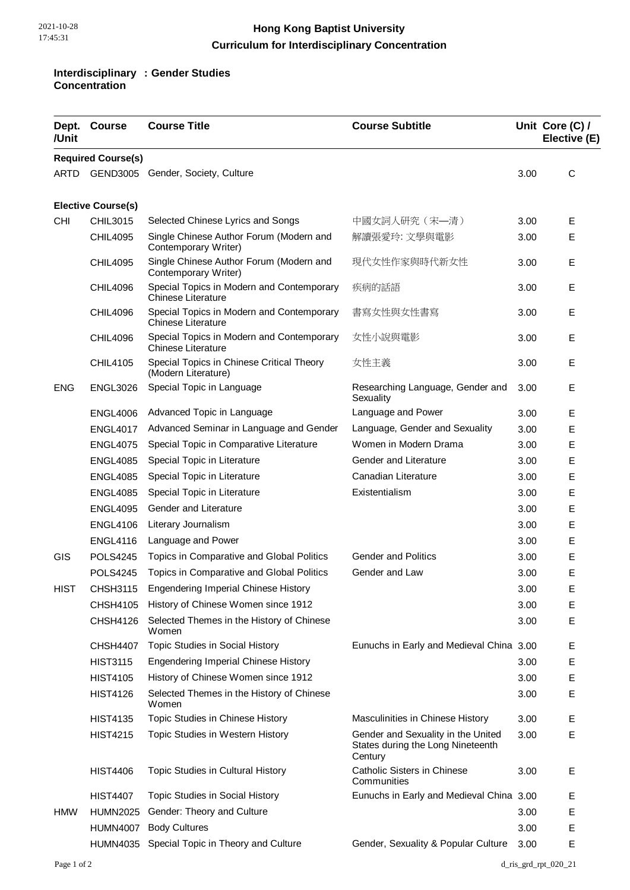## **Hong Kong Baptist University Curriculum for Interdisciplinary Concentration**

## **Interdisciplinary Concentration : Gender Studies**

| /Unit                     | Dept. Course    | <b>Course Title</b>                                                    | <b>Course Subtitle</b>                                                             |      | Unit Core (C) /<br>Elective (E) |  |  |  |  |
|---------------------------|-----------------|------------------------------------------------------------------------|------------------------------------------------------------------------------------|------|---------------------------------|--|--|--|--|
| <b>Required Course(s)</b> |                 |                                                                        |                                                                                    |      |                                 |  |  |  |  |
| ARTD                      |                 | GEND3005 Gender, Society, Culture                                      |                                                                                    | 3.00 | С                               |  |  |  |  |
|                           |                 |                                                                        |                                                                                    |      |                                 |  |  |  |  |
| <b>Elective Course(s)</b> |                 |                                                                        |                                                                                    |      |                                 |  |  |  |  |
| <b>CHI</b>                | CHIL3015        | Selected Chinese Lyrics and Songs                                      | 中國女詞人研究 (宋一清)                                                                      | 3.00 | Е                               |  |  |  |  |
|                           | <b>CHIL4095</b> | Single Chinese Author Forum (Modern and<br>Contemporary Writer)        | 解讀張愛玲: 文學與電影                                                                       | 3.00 | Е                               |  |  |  |  |
|                           | <b>CHIL4095</b> | Single Chinese Author Forum (Modern and<br>Contemporary Writer)        | 現代女性作家與時代新女性                                                                       | 3.00 | Е                               |  |  |  |  |
|                           | <b>CHIL4096</b> | Special Topics in Modern and Contemporary<br><b>Chinese Literature</b> | 疾病的話語                                                                              | 3.00 | E                               |  |  |  |  |
|                           | <b>CHIL4096</b> | Special Topics in Modern and Contemporary<br><b>Chinese Literature</b> | 書寫女性與女性書寫                                                                          | 3.00 | Е                               |  |  |  |  |
|                           | <b>CHIL4096</b> | Special Topics in Modern and Contemporary<br><b>Chinese Literature</b> | 女性小說與電影                                                                            | 3.00 | Е                               |  |  |  |  |
|                           | <b>CHIL4105</b> | Special Topics in Chinese Critical Theory<br>(Modern Literature)       | 女性主義                                                                               | 3.00 | Е                               |  |  |  |  |
| <b>ENG</b>                | <b>ENGL3026</b> | Special Topic in Language                                              | Researching Language, Gender and<br>Sexuality                                      | 3.00 | Е                               |  |  |  |  |
|                           | ENGL4006        | Advanced Topic in Language                                             | Language and Power                                                                 | 3.00 | Е                               |  |  |  |  |
|                           | <b>ENGL4017</b> | Advanced Seminar in Language and Gender                                | Language, Gender and Sexuality                                                     | 3.00 | Е                               |  |  |  |  |
|                           | <b>ENGL4075</b> | Special Topic in Comparative Literature                                | Women in Modern Drama                                                              | 3.00 | Е                               |  |  |  |  |
|                           | <b>ENGL4085</b> | Special Topic in Literature                                            | Gender and Literature                                                              | 3.00 | Е                               |  |  |  |  |
|                           | <b>ENGL4085</b> | Special Topic in Literature                                            | Canadian Literature                                                                | 3.00 | Е                               |  |  |  |  |
|                           | <b>ENGL4085</b> | Special Topic in Literature                                            | Existentialism                                                                     | 3.00 | Ε                               |  |  |  |  |
|                           | <b>ENGL4095</b> | Gender and Literature                                                  |                                                                                    | 3.00 | Е                               |  |  |  |  |
|                           | <b>ENGL4106</b> | Literary Journalism                                                    |                                                                                    | 3.00 | Ε                               |  |  |  |  |
|                           | <b>ENGL4116</b> | Language and Power                                                     |                                                                                    | 3.00 | Е                               |  |  |  |  |
| GIS                       | <b>POLS4245</b> | Topics in Comparative and Global Politics                              | <b>Gender and Politics</b>                                                         | 3.00 | Ε                               |  |  |  |  |
|                           | <b>POLS4245</b> | Topics in Comparative and Global Politics                              | Gender and Law                                                                     | 3.00 | Е                               |  |  |  |  |
| <b>HIST</b>               | <b>CHSH3115</b> | <b>Engendering Imperial Chinese History</b>                            |                                                                                    | 3.00 | Е                               |  |  |  |  |
|                           | <b>CHSH4105</b> | History of Chinese Women since 1912                                    |                                                                                    | 3.00 | Е                               |  |  |  |  |
|                           | <b>CHSH4126</b> | Selected Themes in the History of Chinese<br>Women                     |                                                                                    | 3.00 | Е                               |  |  |  |  |
|                           | <b>CHSH4407</b> | Topic Studies in Social History                                        | Eunuchs in Early and Medieval China 3.00                                           |      | Е                               |  |  |  |  |
|                           | <b>HIST3115</b> | <b>Engendering Imperial Chinese History</b>                            |                                                                                    | 3.00 | Е                               |  |  |  |  |
|                           | <b>HIST4105</b> | History of Chinese Women since 1912                                    |                                                                                    | 3.00 | E                               |  |  |  |  |
|                           | <b>HIST4126</b> | Selected Themes in the History of Chinese<br>Women                     |                                                                                    | 3.00 | Е                               |  |  |  |  |
|                           | <b>HIST4135</b> | Topic Studies in Chinese History                                       | Masculinities in Chinese History                                                   | 3.00 | Е                               |  |  |  |  |
|                           | <b>HIST4215</b> | Topic Studies in Western History                                       | Gender and Sexuality in the United<br>States during the Long Nineteenth<br>Century | 3.00 | Е                               |  |  |  |  |
|                           | <b>HIST4406</b> | Topic Studies in Cultural History                                      | <b>Catholic Sisters in Chinese</b><br>Communities                                  | 3.00 | Е                               |  |  |  |  |
|                           | <b>HIST4407</b> | Topic Studies in Social History                                        | Eunuchs in Early and Medieval China 3.00                                           |      | Е                               |  |  |  |  |
| <b>HMW</b>                | <b>HUMN2025</b> | Gender: Theory and Culture                                             |                                                                                    | 3.00 | Е                               |  |  |  |  |
|                           | <b>HUMN4007</b> | <b>Body Cultures</b>                                                   |                                                                                    | 3.00 | Е                               |  |  |  |  |
|                           |                 | HUMN4035 Special Topic in Theory and Culture                           | Gender, Sexuality & Popular Culture                                                | 3.00 | E                               |  |  |  |  |